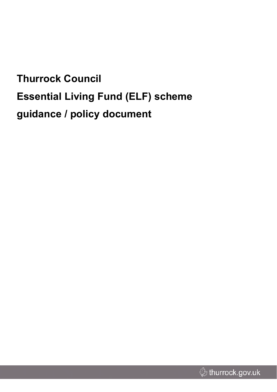# **Thurrock Council Essential Living Fund (ELF) scheme guidance / policy document**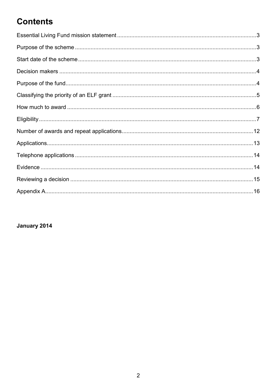### **Contents**

#### January 2014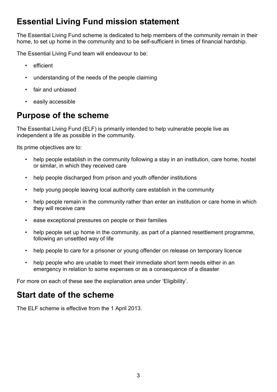### <span id="page-2-0"></span>**Essential Living Fund mission statement**

The Essential Living Fund scheme is dedicated to help members of the community remain in their home, to set up home in the community and to be self-sufficient in times of financial hardship.

The Essential Living Fund team will endeavour to be:

- efficient
- understanding of the needs of the people claiming
- fair and unbiased
- easily accessible

### <span id="page-2-1"></span>**Purpose of the scheme**

The Essential Living Fund (ELF) is primarily intended to help vulnerable people live as independent a life as possible in the community.

Its prime objectives are to:

- help people establish in the community following a stay in an institution, care home, hostel or similar, in which they received care
- help people discharged from prison and youth offender institutions
- help young people leaving local authority care establish in the community
- help people remain in the community rather than enter an institution or care home in which they will receive care
- ease exceptional pressures on people or their families
- help people set up home in the community, as part of a planned resettlement programme, following an unsettled way of life
- help people to care for a prisoner or young offender on release on temporary licence
- help people who are unable to meet their immediate short term needs either in an emergency in relation to some expenses or as a consequence of a disaster

For more on each of these see the explanation area under 'Eligibility'.

### <span id="page-2-2"></span>**Start date of the scheme**

The ELF scheme is effective from the 1 April 2013.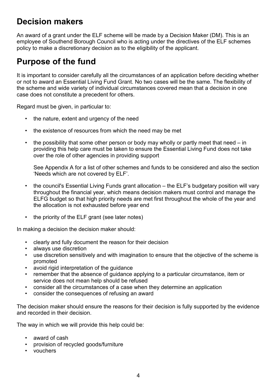### <span id="page-3-0"></span>**Decision makers**

An award of a grant under the ELF scheme will be made by a Decision Maker (DM). This is an employee of Southend Borough Council who is acting under the directives of the ELF schemes policy to make a discretionary decision as to the eligibility of the applicant.

### <span id="page-3-1"></span>**Purpose of the fund**

It is important to consider carefully all the circumstances of an application before deciding whether or not to award an Essential Living Fund Grant. No two cases will be the same. The flexibility of the scheme and wide variety of individual circumstances covered mean that a decision in one case does not constitute a precedent for others.

Regard must be given, in particular to:

- the nature, extent and urgency of the need
- the existence of resources from which the need may be met
- the possibility that some other person or body may wholly or partly meet that need in providing this help care must be taken to ensure the Essential Living Fund does not take over the role of other agencies in providing support

See Appendix A for a list of other schemes and funds to be considered and also the section 'Needs which are not covered by ELF'.

- the council's Essential Living Funds grant allocation the ELF's budgetary position will vary throughout the financial year, which means decision makers must control and manage the ELFG budget so that high priority needs are met first throughout the whole of the year and the allocation is not exhausted before year end
- the priority of the ELF grant (see later notes)

In making a decision the decision maker should:

- clearly and fully document the reason for their decision
- always use discretion
- use discretion sensitively and with imagination to ensure that the objective of the scheme is promoted
- avoid rigid interpretation of the quidance
- remember that the absence of guidance applying to a particular circumstance, item or service does not mean help should be refused
- consider all the circumstances of a case when they determine an application
- consider the consequences of refusing an award

The decision maker should ensure the reasons for their decision is fully supported by the evidence and recorded in their decision.

The way in which we will provide this help could be:

- award of cash
- provision of recycled goods/furniture
- vouchers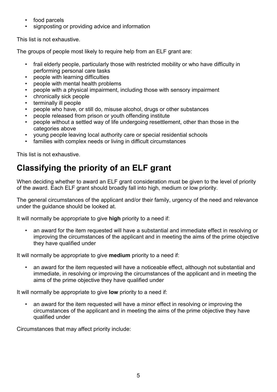- food parcels
- signposting or providing advice and information

This list is not exhaustive.

The groups of people most likely to require help from an ELF grant are:

- frail elderly people, particularly those with restricted mobility or who have difficulty in performing personal care tasks
- people with learning difficulties
- people with mental health problems
- people with a physical impairment, including those with sensory impairment
- chronically sick people
- terminally ill people
- people who have, or still do, misuse alcohol, drugs or other substances
- people released from prison or youth offending institute
- people without a settled way of life undergoing resettlement, other than those in the categories above
- young people leaving local authority care or special residential schools
- families with complex needs or living in difficult circumstances

This list is not exhaustive.

## <span id="page-4-0"></span>**Classifying the priority of an ELF grant**

When deciding whether to award an ELF grant consideration must be given to the level of priority of the award. Each ELF grant should broadly fall into high, medium or low priority.

The general circumstances of the applicant and/or their family, urgency of the need and relevance under the guidance should be looked at.

It will normally be appropriate to give **high** priority to a need if:

• an award for the item requested will have a substantial and immediate effect in resolving or improving the circumstances of the applicant and in meeting the aims of the prime objective they have qualified under

It will normally be appropriate to give **medium** priority to a need if:

• an award for the item requested will have a noticeable effect, although not substantial and immediate, in resolving or improving the circumstances of the applicant and in meeting the aims of the prime objective they have qualified under

It will normally be appropriate to give **low** priority to a need if:

• an award for the item requested will have a minor effect in resolving or improving the circumstances of the applicant and in meeting the aims of the prime objective they have qualified under

Circumstances that may affect priority include: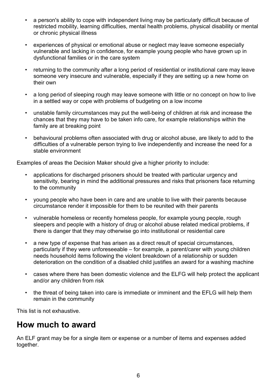- a person's ability to cope with independent living may be particularly difficult because of restricted mobility, learning difficulties, mental health problems, physical disability or mental or chronic physical illness
- experiences of physical or emotional abuse or neglect may leave someone especially vulnerable and lacking in confidence, for example young people who have grown up in dysfunctional families or in the care system
- returning to the community after a long period of residential or institutional care may leave someone very insecure and vulnerable, especially if they are setting up a new home on their own
- a long period of sleeping rough may leave someone with little or no concept on how to live in a settled way or cope with problems of budgeting on a low income
- unstable family circumstances may put the well-being of children at risk and increase the chances that they may have to be taken info care, for example relationships within the family are at breaking point
- behavioural problems often associated with drug or alcohol abuse, are likely to add to the difficulties of a vulnerable person trying to live independently and increase the need for a stable environment

Examples of areas the Decision Maker should give a higher priority to include:

- applications for discharged prisoners should be treated with particular urgency and sensitivity, bearing in mind the additional pressures and risks that prisoners face returning to the community
- young people who have been in care and are unable to live with their parents because circumstance render it impossible for them to be reunited with their parents
- vulnerable homeless or recently homeless people, for example young people, rough sleepers and people with a history of drug or alcohol abuse related medical problems, if there is danger that they may otherwise go into institutional or residential care
- a new type of expense that has arisen as a direct result of special circumstances, particularly if they were unforeseeable – for example, a parent/carer with young children needs household items following the violent breakdown of a relationship or sudden deterioration on the condition of a disabled child justifies an award for a washing machine
- cases where there has been domestic violence and the ELFG will help protect the applicant and/or any children from risk
- the threat of being taken into care is immediate or imminent and the EFLG will help them remain in the community

This list is not exhaustive.

### <span id="page-5-0"></span>**How much to award**

An ELF grant may be for a single item or expense or a number of items and expenses added together.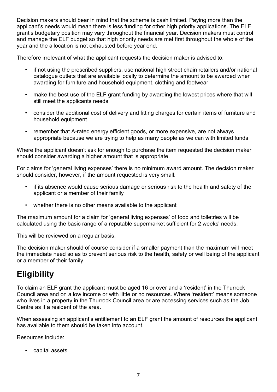Decision makers should bear in mind that the scheme is cash limited. Paying more than the applicant's needs would mean there is less funding for other high priority applications. The ELF grant's budgetary position may vary throughout the financial year. Decision makers must control and manage the ELF budget so that high priority needs are met first throughout the whole of the year and the allocation is not exhausted before year end.

Therefore irrelevant of what the applicant requests the decision maker is advised to:

- if not using the prescribed suppliers, use national high street chain retailers and/or national catalogue outlets that are available locally to determine the amount to be awarded when awarding for furniture and household equipment, clothing and footwear
- make the best use of the ELF grant funding by awarding the lowest prices where that will still meet the applicants needs
- consider the additional cost of delivery and fitting charges for certain items of furniture and household equipment
- remember that A-rated energy efficient goods, or more expensive, are not always appropriate because we are trying to help as many people as we can with limited funds

Where the applicant doesn't ask for enough to purchase the item requested the decision maker should consider awarding a higher amount that is appropriate.

For claims for 'general living expenses' there is no minimum award amount. The decision maker should consider, however, if the amount requested is very small:

- if its absence would cause serious damage or serious risk to the health and safety of the applicant or a member of their family
- whether there is no other means available to the applicant

The maximum amount for a claim for 'general living expenses' of food and toiletries will be calculated using the basic range of a reputable supermarket sufficient for 2 weeks' needs.

This will be reviewed on a regular basis.

The decision maker should of course consider if a smaller payment than the maximum will meet the immediate need so as to prevent serious risk to the health, safety or well being of the applicant or a member of their family.

### <span id="page-6-0"></span>**Eligibility**

To claim an ELF grant the applicant must be aged 16 or over and a 'resident' in the Thurrock Council area and on a low income or with little or no resources. Where 'resident' means someone who lives in a property in the Thurrock Council area or are accessing services such as the Job Centre as if a resident of the area.

When assessing an applicant's entitlement to an ELF grant the amount of resources the applicant has available to them should be taken into account.

Resources include:

• capital assets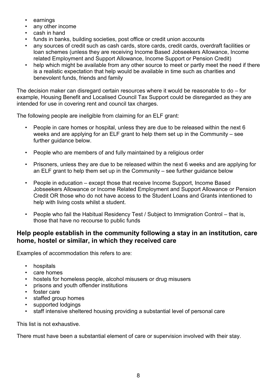- earnings
- any other income
- cash in hand
- funds in banks, building societies, post office or credit union accounts
- any sources of credit such as cash cards, store cards, credit cards, overdraft facilities or loan schemes (unless they are receiving Income Based Jobseekers Allowance, Income related Employment and Support Allowance, Income Support or Pension Credit)
- help which might be available from any other source to meet or partly meet the need if there is a realistic expectation that help would be available in time such as charities and benevolent funds, friends and family

The decision maker can disregard certain resources where it would be reasonable to do – for example, Housing Benefit and Localised Council Tax Support could be disregarded as they are intended for use in covering rent and council tax charges.

The following people are ineligible from claiming for an ELF grant:

- People in care homes or hospital, unless they are due to be released within the next 6 weeks and are applying for an ELF grant to help them set up in the Community – see further guidance below.
- People who are members of and fully maintained by a religious order
- Prisoners, unless they are due to be released within the next 6 weeks and are applying for an ELF grant to help them set up in the Community – see further guidance below
- People in education except those that receive Income Support, Income Based Jobseekers Allowance or Income Related Employment and Support Allowance or Pension Credit OR those who do not have access to the Student Loans and Grants intentioned to help with living costs whilst a student.
- People who fail the Habitual Residency Test / Subject to Immigration Control that is, those that have no recourse to public funds

#### **Help people establish in the community following a stay in an institution, care home, hostel or similar, in which they received care**

Examples of accommodation this refers to are:

- hospitals
- care homes
- hostels for homeless people, alcohol misusers or drug misusers
- prisons and youth offender institutions
- foster care
- staffed group homes
- supported lodgings
- staff intensive sheltered housing providing a substantial level of personal care

This list is not exhaustive.

There must have been a substantial element of care or supervision involved with their stay.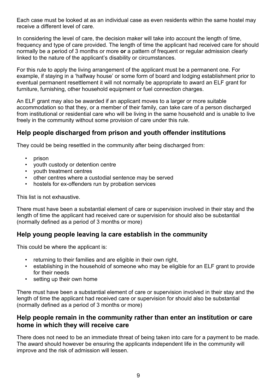Each case must be looked at as an individual case as even residents within the same hostel may receive a different level of care.

In considering the level of care, the decision maker will take into account the length of time, frequency and type of care provided. The length of time the applicant had received care for should normally be a period of 3 months or more **or** a pattern of frequent or regular admission clearly linked to the nature of the applicant's disability or circumstances.

For this rule to apply the living arrangement of the applicant must be a permanent one. For example, if staying in a 'halfway house' or some form of board and lodging establishment prior to eventual permanent resettlement it will not normally be appropriate to award an ELF grant for furniture, furnishing, other household equipment or fuel connection charges.

An ELF grant may also be awarded if an applicant moves to a larger or more suitable accommodation so that they, or a member of their family, can take care of a person discharged from institutional or residential care who will be living in the same household and is unable to live freely in the community without some provision of care under this rule.

### **Help people discharged from prison and youth offender institutions**

They could be being resettled in the community after being discharged from:

- prison
- youth custody or detention centre
- youth treatment centres
- other centres where a custodial sentence may be served
- hostels for ex-offenders run by probation services

This list is not exhaustive.

There must have been a substantial element of care or supervision involved in their stay and the length of time the applicant had received care or supervision for should also be substantial (normally defined as a period of 3 months or more)

### **Help young people leaving la care establish in the community**

This could be where the applicant is:

- returning to their families and are eligible in their own right,
- establishing in the household of someone who may be eligible for an ELF grant to provide for their needs
- setting up their own home

There must have been a substantial element of care or supervision involved in their stay and the length of time the applicant had received care or supervision for should also be substantial (normally defined as a period of 3 months or more)

#### **Help people remain in the community rather than enter an institution or care home in which they will receive care**

There does not need to be an immediate threat of being taken into care for a payment to be made. The award should however be ensuring the applicants independent life in the community will improve and the risk of admission will lessen.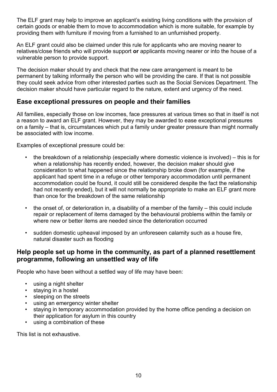The ELF grant may help to improve an applicant's existing living conditions with the provision of certain goods or enable them to move to accommodation which is more suitable, for example by providing them with furniture if moving from a furnished to an unfurnished property.

An ELF grant could also be claimed under this rule for applicants who are moving nearer to relatives/close friends who will provide support **or** applicants moving nearer or into the house of a vulnerable person to provide support.

The decision maker should try and check that the new care arrangement is meant to be permanent by talking informally the person who will be providing the care. If that is not possible they could seek advice from other interested parties such as the Social Services Department. The decision maker should have particular regard to the nature, extent and urgency of the need.

#### **Ease exceptional pressures on people and their families**

All families, especially those on low incomes, face pressures at various times so that in itself is not a reason to award an ELF grant. However, they may be awarded to ease exceptional pressures on a family – that is, circumstances which put a family under greater pressure than might normally be associated with low income.

Examples of exceptional pressure could be:

- the breakdown of a relationship (especially where domestic violence is involved) this is for when a relationship has recently ended, however, the decision maker should give consideration to what happened since the relationship broke down (for example, if the applicant had spent time in a refuge or other temporary accommodation until permanent accommodation could be found, it could still be considered despite the fact the relationship had not recently ended), but it will not normally be appropriate to make an ELF grant more than once for the breakdown of the same relationship
- the onset of, or deterioration in, a disability of a member of the family this could include repair or replacement of items damaged by the behavioural problems within the family or where new or better items are needed since the deterioration occurred
- sudden domestic upheaval imposed by an unforeseen calamity such as a house fire, natural disaster such as flooding

#### **Help people set up home in the community, as part of a planned resettlement programme, following an unsettled way of life**

People who have been without a settled way of life may have been:

- using a night shelter
- staying in a hostel
- sleeping on the streets
- using an emergency winter shelter
- staying in temporary accommodation provided by the home office pending a decision on their application for asylum in this country
- using a combination of these

This list is not exhaustive.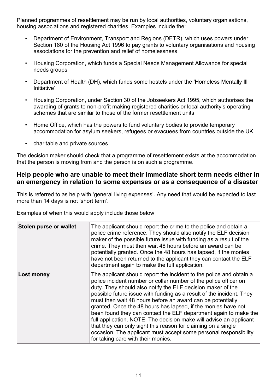Planned programmes of resettlement may be run by local authorities, voluntary organisations, housing associations and registered charities. Examples include the:

- Department of Environment, Transport and Regions (DETR), which uses powers under Section 180 of the Housing Act 1996 to pay grants to voluntary organisations and housing associations for the prevention and relief of homelessness
- Housing Corporation, which funds a Special Needs Management Allowance for special needs groups
- Department of Health (DH), which funds some hostels under the 'Homeless Mentally Ill Initiative'
- Housing Corporation, under Section 30 of the Jobseekers Act 1995, which authorises the awarding of grants to non-profit making registered charities or local authority's operating schemes that are similar to those of the former resettlement units
- Home Office, which has the powers to fund voluntary bodies to provide temporary accommodation for asylum seekers, refugees or evacuees from countries outside the UK
- charitable and private sources

The decision maker should check that a programme of resettlement exists at the accommodation that the person is moving from and the person is on such a programme.

#### **Help people who are unable to meet their immediate short term needs either in an emergency in relation to some expenses or as a consequence of a disaster**

This is referred to as help with 'general living expenses'. Any need that would be expected to last more than 14 days is not 'short term'.

Examples of when this would apply include those below

| <b>Stolen purse or wallet</b> | The applicant should report the crime to the police and obtain a<br>police crime reference. They should also notify the ELF decision<br>maker of the possible future issue with funding as a result of the<br>crime. They must then wait 48 hours before an award can be<br>potentially granted. Once the 48 hours has lapsed, if the monies<br>have not been returned to the applicant they can contact the ELF<br>department again to make the full application.                                                                                                                                                                                                                                                                 |
|-------------------------------|------------------------------------------------------------------------------------------------------------------------------------------------------------------------------------------------------------------------------------------------------------------------------------------------------------------------------------------------------------------------------------------------------------------------------------------------------------------------------------------------------------------------------------------------------------------------------------------------------------------------------------------------------------------------------------------------------------------------------------|
| Lost money                    | The applicant should report the incident to the police and obtain a<br>police incident number or collar number of the police officer on<br>duty. They should also notify the ELF decision maker of the<br>possible future issue with funding as a result of the incident. They<br>must then wait 48 hours before an award can be potentially<br>granted. Once the 48 hours has lapsed, if the monies have not<br>been found they can contact the ELF department again to make the<br>full application. NOTE: The decision make will advise an applicant<br>that they can only sight this reason for claiming on a single<br>occasion. The applicant must accept some personal responsibility<br>for taking care with their monies. |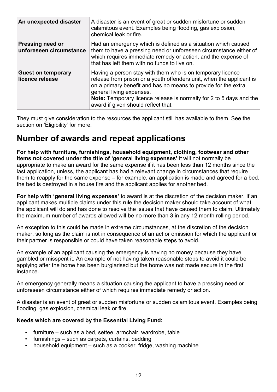| An unexpected disaster                             | A disaster is an event of great or sudden misfortune or sudden<br>calamitous event. Examples being flooding, gas explosion,<br>chemical leak or fire.                                                                                                                                                                                          |
|----------------------------------------------------|------------------------------------------------------------------------------------------------------------------------------------------------------------------------------------------------------------------------------------------------------------------------------------------------------------------------------------------------|
| <b>Pressing need or</b><br>unforeseen circumstance | Had an emergency which is defined as a situation which caused<br>them to have a pressing need or unforeseen circumstance either of<br>which requires immediate remedy or action, and the expense of<br>that has left them with no funds to live on.                                                                                            |
| <b>Guest on temporary</b><br>licence release       | Having a person stay with them who is on temporary licence<br>release from prison or a youth offenders unit, when the applicant is<br>on a primary benefit and has no means to provide for the extra<br>general living expenses.<br>Note: Temporary licence release is normally for 2 to 5 days and the<br>award if given should reflect that. |

They must give consideration to the resources the applicant still has available to them. See the section on 'Eligibility' for more.

### <span id="page-11-0"></span>**Number of awards and repeat applications**

**For help with furniture, furnishings, household equipment, clothing, footwear and other items not covered under the title of 'general living expenses'** it will not normally be appropriate to make an award for the same expense if it has been less than 12 months since the last application, unless, the applicant has had a relevant change in circumstances that require them to reapply for the same expense – for example, an application is made and agreed for a bed, the bed is destroyed in a house fire and the applicant applies for another bed.

**For help with 'general living expenses'** to award is at the discretion of the decision maker. If an applicant makes multiple claims under this rule the decision maker should take account of what the applicant will do and has done to resolve the issues that have caused them to claim. Ultimately the maximum number of awards allowed will be no more than 3 in any 12 month rolling period.

An exception to this could be made in extreme circumstances, at the discretion of the decision maker, so long as the claim is not in consequence of an act or omission for which the applicant or their partner is responsible or could have taken reasonable steps to avoid.

An example of an applicant causing the emergency is having no money because they have gambled or misspent it. An example of not having taken reasonable steps to avoid it could be applying after the home has been burglarised but the home was not made secure in the first instance.

An emergency generally means a situation causing the applicant to have a pressing need or unforeseen circumstance either of which requires immediate remedy or action.

A disaster is an event of great or sudden misfortune or sudden calamitous event. Examples being flooding, gas explosion, chemical leak or fire.

#### **Needs which are covered by the Essential Living Fund:**

- furniture such as a bed, settee, armchair, wardrobe, table
- furnishings such as carpets, curtains, bedding
- household equipment such as a cooker, fridge, washing machine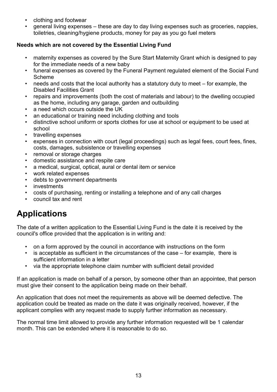- clothing and footwear
- general living expenses these are day to day living expenses such as groceries, nappies, toiletries, cleaning/hygiene products, money for pay as you go fuel meters

#### **Needs which are not covered by the Essential Living Fund**

- maternity expenses as covered by the Sure Start Maternity Grant which is designed to pay for the immediate needs of a new baby
- funeral expenses as covered by the Funeral Payment regulated element of the Social Fund Scheme
- needs and costs that the local authority has a statutory duty to meet for example, the Disabled Facilities Grant
- repairs and improvements (both the cost of materials and labour) to the dwelling occupied as the home, including any garage, garden and outbuilding
- a need which occurs outside the UK
- an educational or training need including clothing and tools
- distinctive school uniform or sports clothes for use at school or equipment to be used at school
- travelling expenses
- expenses in connection with court (legal proceedings) such as legal fees, court fees, fines, costs, damages, subsistence or travelling expenses
- removal or storage charges
- domestic assistance and respite care
- a medical, surgical, optical, aural or dental item or service
- work related expenses
- debts to government departments
- investments
- costs of purchasing, renting or installing a telephone and of any call charges
- council tax and rent

### <span id="page-12-0"></span>**Applications**

The date of a written application to the Essential Living Fund is the date it is received by the council's office provided that the application is in writing and:

- on a form approved by the council in accordance with instructions on the form
- is acceptable as sufficient in the circumstances of the case for example, there is sufficient information in a letter
- via the appropriate telephone claim number with sufficient detail provided

If an application is made on behalf of a person, by someone other than an appointee, that person must give their consent to the application being made on their behalf.

An application that does not meet the requirements as above will be deemed defective. The application could be treated as made on the date it was originally received, however, if the applicant complies with any request made to supply further information as necessary.

The normal time limit allowed to provide any further information requested will be 1 calendar month. This can be extended where it is reasonable to do so.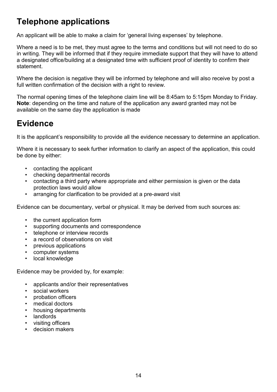### <span id="page-13-0"></span>**Telephone applications**

An applicant will be able to make a claim for 'general living expenses' by telephone.

Where a need is to be met, they must agree to the terms and conditions but will not need to do so in writing. They will be informed that if they require immediate support that they will have to attend a designated office/building at a designated time with sufficient proof of identity to confirm their statement.

Where the decision is negative they will be informed by telephone and will also receive by post a full written confirmation of the decision with a right to review.

The normal opening times of the telephone claim line will be 8:45am to 5:15pm Monday to Friday. **Note**: depending on the time and nature of the application any award granted may not be available on the same day the application is made

### <span id="page-13-1"></span>**Evidence**

It is the applicant's responsibility to provide all the evidence necessary to determine an application.

Where it is necessary to seek further information to clarify an aspect of the application, this could be done by either:

- contacting the applicant
- checking departmental records
- contacting a third party where appropriate and either permission is given or the data protection laws would allow
- arranging for clarification to be provided at a pre-award visit

Evidence can be documentary, verbal or physical. It may be derived from such sources as:

- the current application form
- supporting documents and correspondence
- telephone or interview records
- a record of observations on visit
- previous applications
- computer systems
- local knowledge

Evidence may be provided by, for example:

- applicants and/or their representatives
- social workers
- probation officers
- medical doctors
- housing departments
- landlords
- visiting officers
- decision makers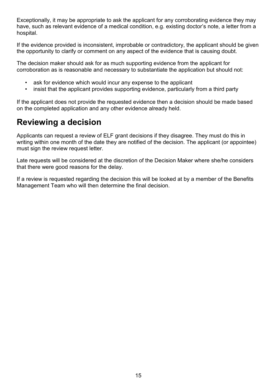Exceptionally, it may be appropriate to ask the applicant for any corroborating evidence they may have, such as relevant evidence of a medical condition, e.g. existing doctor's note, a letter from a hospital.

If the evidence provided is inconsistent, improbable or contradictory, the applicant should be given the opportunity to clarify or comment on any aspect of the evidence that is causing doubt.

The decision maker should ask for as much supporting evidence from the applicant for corroboration as is reasonable and necessary to substantiate the application but should not:

- ask for evidence which would incur any expense to the applicant
- insist that the applicant provides supporting evidence, particularly from a third party

If the applicant does not provide the requested evidence then a decision should be made based on the completed application and any other evidence already held.

### <span id="page-14-0"></span>**Reviewing a decision**

Applicants can request a review of ELF grant decisions if they disagree. They must do this in writing within one month of the date they are notified of the decision. The applicant (or appointee) must sign the review request letter.

Late requests will be considered at the discretion of the Decision Maker where she/he considers that there were good reasons for the delay.

If a review is requested regarding the decision this will be looked at by a member of the Benefits Management Team who will then determine the final decision.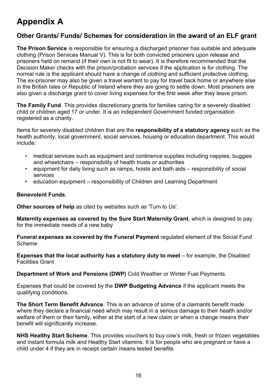# <span id="page-15-0"></span>**Appendix A**

### **Other Grants/ Funds/ Schemes for consideration in the award of an ELF grant**

**The Prison Service** is responsible for ensuring a discharged prisoner has suitable and adequate clothing (Prison Services Manual V). This is for both convicted prisoners upon release and prisoners held on remand (if their own is not fit to wear). It is therefore recommended that the Decision Maker checks with the prison/probation services if the application is for clothing. The normal rule is the applicant should have a change of clothing and sufficient protective clothing. The ex-prisoner may also be given a travel warrant to pay for travel back home or anywhere else in the British Isles or Republic of Ireland where they are going to settle down. Most prisoners are also given a discharge grant to cover living expenses for the first week after they leave prison.

**The Family Fund**. This provides discretionary grants for families caring for a severely disabled child or children aged 17 or under. It is an independent Government funded organisation registered as a charity.

Items for severely disabled children that are the **responsibility of a statutory agency** such as the health authority, local government, social services, housing or education department. This would include:

- medical services such as equipment and continence supplies including nappies, buggies and wheelchairs – responsibility of health trusts or authorities
- equipment for daily living such as ramps, hoists and bath aids responsibility of social services
- education equipment responsibility of Children and Learning Department

#### **Benevolent Funds**.

**Other sources of help** as cited by websites such as 'Turn to Us'.

**Maternity expenses as covered by the Sure Start Maternity Grant**, which is designed to pay for the immediate needs of a new baby

**Funeral expenses as covered by the Funeral Payment** regulated element of the Social Fund Scheme

**Expenses that the local authority has a statutory duty to meet** – for example, the Disabled Facilities Grant

**Department of Work and Pensions (DWP)** Cold Weather or Winter Fuel Payments.

Expenses that could be covered by the **DWP Budgeting Advance** if the applicant meets the qualifying conditions.

**The Short Term Benefit Advance**. This is an advance of some of a claimants benefit made where they declare a financial need which may result in a serious damage to their health and/or welfare of them or their family, either at the start of a new claim or when a change means their benefit will significantly increase.

**NHS Healthy Start Scheme**. This provides vouchers to buy cow's milk, fresh or frozen vegetables and instant formula milk and Healthy Start vitamins. It is for people who are pregnant or have a child under 4 if they are in receipt certain means tested benefits